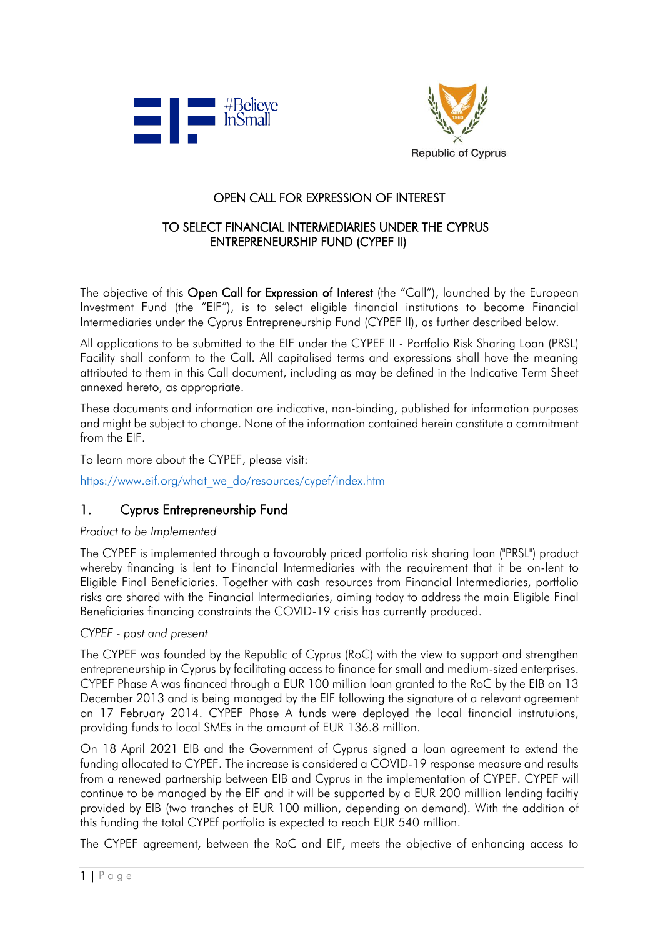



## OPEN CALL FOR EXPRESSION OF INTEREST

### TO SELECT FINANCIAL INTERMEDIARIES UNDER THE CYPRUS ENTREPRENEURSHIP FUND (CYPEF II)

The objective of this Open Call for Expression of Interest (the "Call"), launched by the European Investment Fund (the "EIF"), is to select eligible financial institutions to become Financial Intermediaries under the Cyprus Entrepreneurship Fund (CYPEF II), as further described below.

All applications to be submitted to the EIF under the CYPEF II - Portfolio Risk Sharing Loan (PRSL) Facility shall conform to the Call. All capitalised terms and expressions shall have the meaning attributed to them in this Call document, including as may be defined in the Indicative Term Sheet annexed hereto, as appropriate.

These documents and information are indicative, non-binding, published for information purposes and might be subject to change. None of the information contained herein constitute a commitment from the EIF.

To learn more about the CYPEF, please visit:

[https://www.eif.org/what\\_we\\_do/resources/cypef/index.htm](https://www.eif.org/what_we_do/resources/cypef/index.htm)

### 1. Cyprus Entrepreneurship Fund

### *Product to be Implemented*

The CYPEF is implemented through a favourably priced portfolio risk sharing loan ("PRSL") product whereby financing is lent to Financial Intermediaries with the requirement that it be on-lent to Eligible Final Beneficiaries. Together with cash resources from Financial Intermediaries, portfolio risks are shared with the Financial Intermediaries, aiming today to address the main Eligible Final Beneficiaries financing constraints the COVID-19 crisis has currently produced.

### *CYPEF - past and present*

The CYPEF was founded by the Republic of Cyprus (RoC) with the view to support and strengthen entrepreneurship in Cyprus by facilitating access to finance for small and medium-sized enterprises. CYPEF Phase A was financed through a EUR 100 million loan granted to the RoC by the EIB on 13 December 2013 and is being managed by the EIF following the signature of a relevant agreement on 17 February 2014. CYPEF Phase A funds were deployed the local financial instrutuions, providing funds to local SMEs in the amount of EUR 136.8 million.

On 18 April 2021 EIB and the Government of Cyprus signed a loan agreement to extend the funding allocated to CYPEF. The increase is considered a COVID-19 response measure and results from a renewed partnership between EIB and Cyprus in the implementation of CYPEF. CYPEF will continue to be managed by the EIF and it will be supported by a EUR 200 milllion lending faciltiy provided by EIB (two tranches of EUR 100 million, depending on demand). With the addition of this funding the total CYPEf portfolio is expected to reach EUR 540 million.

The CYPEF agreement, between the RoC and EIF, meets the objective of enhancing access to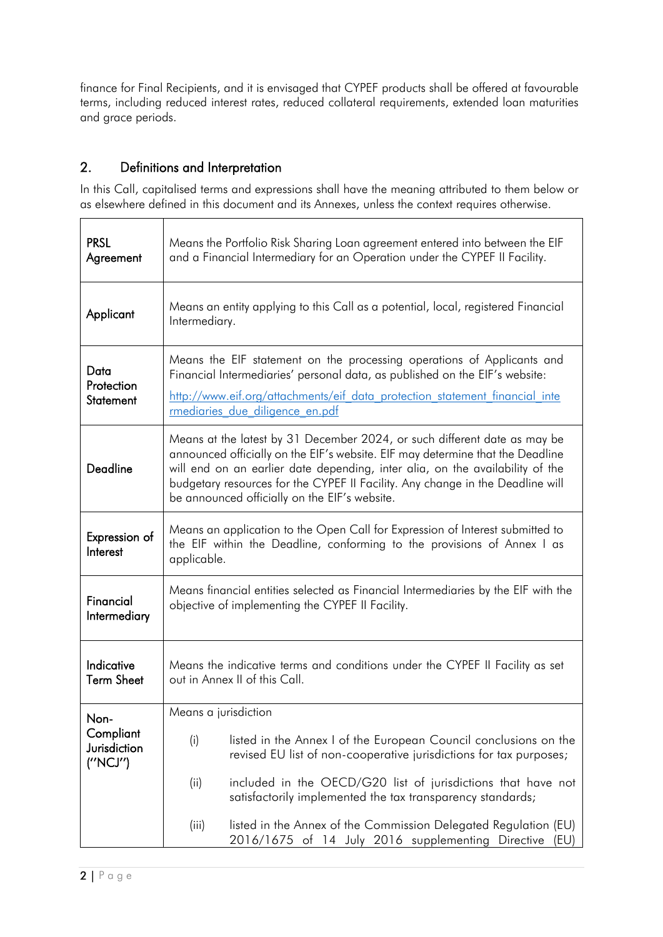finance for Final Recipients, and it is envisaged that CYPEF products shall be offered at favourable terms, including reduced interest rates, reduced collateral requirements, extended loan maturities and grace periods.

# 2. Definitions and Interpretation

In this Call, capitalised terms and expressions shall have the meaning attributed to them below or as elsewhere defined in this document and its Annexes, unless the context requires otherwise.

٦

| <b>PRSL</b><br>Agreement                       | Means the Portfolio Risk Sharing Loan agreement entered into between the EIF<br>and a Financial Intermediary for an Operation under the CYPEF II Facility.                                                                                                                                                                                                                      |  |  |
|------------------------------------------------|---------------------------------------------------------------------------------------------------------------------------------------------------------------------------------------------------------------------------------------------------------------------------------------------------------------------------------------------------------------------------------|--|--|
| Applicant                                      | Means an entity applying to this Call as a potential, local, registered Financial<br>Intermediary.                                                                                                                                                                                                                                                                              |  |  |
| Data<br>Protection<br>Statement                | Means the EIF statement on the processing operations of Applicants and<br>Financial Intermediaries' personal data, as published on the EIF's website:<br>http://www.eif.org/attachments/eif data protection statement financial inte<br>rmediaries due diligence en.pdf                                                                                                         |  |  |
| Deadline                                       | Means at the latest by 31 December 2024, or such different date as may be<br>announced officially on the EIF's website. EIF may determine that the Deadline<br>will end on an earlier date depending, inter alia, on the availability of the<br>budgetary resources for the CYPEF II Facility. Any change in the Deadline will<br>be announced officially on the EIF's website. |  |  |
| Expression of<br>Interest                      | Means an application to the Open Call for Expression of Interest submitted to<br>the EIF within the Deadline, conforming to the provisions of Annex I as<br>applicable.                                                                                                                                                                                                         |  |  |
| Financial<br>Intermediary                      | Means financial entities selected as Financial Intermediaries by the EIF with the<br>objective of implementing the CYPEF II Facility.                                                                                                                                                                                                                                           |  |  |
| Indicative<br><b>Term Sheet</b>                | Means the indicative terms and conditions under the CYPEF II Facility as set<br>out in Annex II of this Call.                                                                                                                                                                                                                                                                   |  |  |
| Non-<br>Compliant<br>Jurisdiction<br>(''NCJ'') | Means a jurisdiction                                                                                                                                                                                                                                                                                                                                                            |  |  |
|                                                | listed in the Annex I of the European Council conclusions on the<br>(i)<br>revised EU list of non-cooperative jurisdictions for tax purposes;                                                                                                                                                                                                                                   |  |  |
|                                                | included in the OECD/G20 list of jurisdictions that have not<br>(ii)<br>satisfactorily implemented the tax transparency standards;                                                                                                                                                                                                                                              |  |  |
|                                                | listed in the Annex of the Commission Delegated Regulation (EU)<br>(iii)<br>2016/1675 of 14 July 2016 supplementing Directive<br>(EU)                                                                                                                                                                                                                                           |  |  |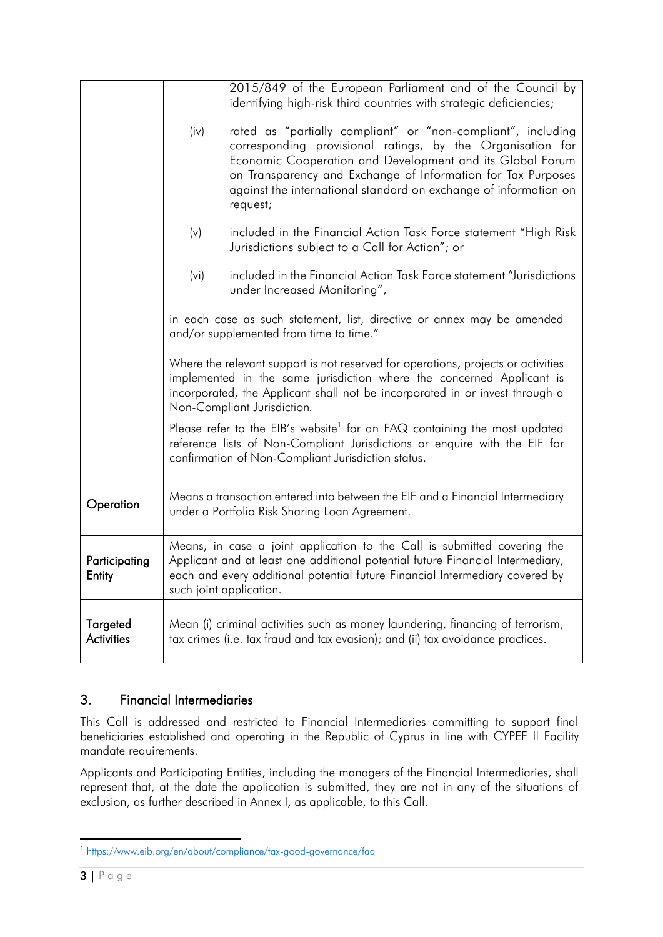|                               |                                                                                                                                                                                                                                                                           | 2015/849 of the European Parliament and of the Council by<br>identifying high-risk third countries with strategic deficiencies;                                                                                                                                                                                                         |  |
|-------------------------------|---------------------------------------------------------------------------------------------------------------------------------------------------------------------------------------------------------------------------------------------------------------------------|-----------------------------------------------------------------------------------------------------------------------------------------------------------------------------------------------------------------------------------------------------------------------------------------------------------------------------------------|--|
|                               | (iv)                                                                                                                                                                                                                                                                      | rated as "partially compliant" or "non-compliant", including<br>corresponding provisional ratings, by the Organisation for<br>Economic Cooperation and Development and its Global Forum<br>on Transparency and Exchange of Information for Tax Purposes<br>against the international standard on exchange of information on<br>request; |  |
|                               | (v)                                                                                                                                                                                                                                                                       | included in the Financial Action Task Force statement "High Risk<br>Jurisdictions subject to a Call for Action"; or                                                                                                                                                                                                                     |  |
|                               | (vi)                                                                                                                                                                                                                                                                      | included in the Financial Action Task Force statement "Jurisdictions"<br>under Increased Monitoring",                                                                                                                                                                                                                                   |  |
|                               | in each case as such statement, list, directive or annex may be amended<br>and/or supplemented from time to time."                                                                                                                                                        |                                                                                                                                                                                                                                                                                                                                         |  |
|                               | Where the relevant support is not reserved for operations, projects or activities<br>implemented in the same jurisdiction where the concerned Applicant is<br>incorporated, the Applicant shall not be incorporated in or invest through a<br>Non-Compliant Jurisdiction. |                                                                                                                                                                                                                                                                                                                                         |  |
|                               |                                                                                                                                                                                                                                                                           | Please refer to the EIB's website <sup>1</sup> for an FAQ containing the most updated<br>reference lists of Non-Compliant Jurisdictions or enquire with the EIF for<br>confirmation of Non-Compliant Jurisdiction status.                                                                                                               |  |
| Operation                     | Means a transaction entered into between the EIF and a Financial Intermediary<br>under a Portfolio Risk Sharing Loan Agreement.                                                                                                                                           |                                                                                                                                                                                                                                                                                                                                         |  |
| Participating<br>Entity       | Means, in case a joint application to the Call is submitted covering the<br>Applicant and at least one additional potential future Financial Intermediary,<br>each and every additional potential future Financial Intermediary covered by<br>such joint application.     |                                                                                                                                                                                                                                                                                                                                         |  |
| Targeted<br><b>Activities</b> | Mean (i) criminal activities such as money laundering, financing of terrorism,<br>tax crimes (i.e. tax fraud and tax evasion); and (ii) tax avoidance practices.                                                                                                          |                                                                                                                                                                                                                                                                                                                                         |  |

# 3. Financial Intermediaries

This Call is addressed and restricted to Financial Intermediaries committing to support final beneficiaries established and operating in the Republic of Cyprus in line with CYPEF II Facility mandate requirements.

Applicants and Participating Entities, including the managers of the Financial Intermediaries, shall represent that, at the date the application is submitted, they are not in any of the situations of exclusion, as further described in Annex I, as applicable, to this Call.

**<sup>.</sup>** <sup>1</sup> <https://www.eib.org/en/about/compliance/tax-good-governance/faq>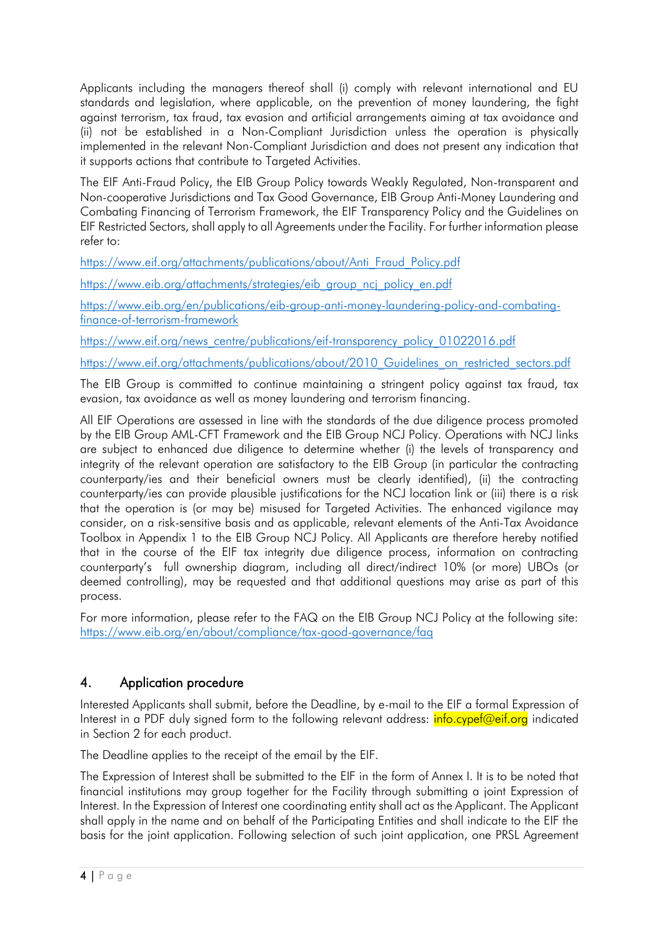Applicants including the managers thereof shall (i) comply with relevant international and EU standards and legislation, where applicable, on the prevention of money laundering, the fight against terrorism, tax fraud, tax evasion and artificial arrangements aiming at tax avoidance and (ii) not be established in a Non-Compliant Jurisdiction unless the operation is physically implemented in the relevant Non-Compliant Jurisdiction and does not present any indication that it supports actions that contribute to Targeted Activities.

The EIF Anti-Fraud Policy, the EIB Group Policy towards Weakly Regulated, Non-transparent and Non-cooperative Jurisdictions and Tax Good Governance, EIB Group Anti-Money Laundering and Combating Financing of Terrorism Framework, the EIF Transparency Policy and the Guidelines on EIF Restricted Sectors, shall apply to all Agreements under the Facility. For further information please refer to:

[https://www.eif.org/attachments/publications/about/Anti\\_Fraud\\_Policy.pdf](https://www.eif.org/attachments/publications/about/Anti_Fraud_Policy.pdf)

[https://www.eib.org/attachments/strategies/eib\\_group\\_ncj\\_policy\\_en.pdf](https://www.eib.org/attachments/strategies/eib_group_ncj_policy_en.pdf)

[https://www.eib.org/en/publications/eib-group-anti-money-laundering-policy-and-combating](https://www.eib.org/en/publications/eib-group-anti-money-laundering-policy-and-combating-finance-of-terrorism-framework)[finance-of-terrorism-framework](https://www.eib.org/en/publications/eib-group-anti-money-laundering-policy-and-combating-finance-of-terrorism-framework)

[https://www.eif.org/news\\_centre/publications/eif-transparency\\_policy\\_01022016.pdf](https://www.eif.org/news_centre/publications/eif-transparency_policy_01022016.pdf)

[https://www.eif.org/attachments/publications/about/2010\\_Guidelines\\_on\\_restricted\\_sectors.pdf](https://www.eif.org/attachments/publications/about/2010_Guidelines_on_restricted_sectors.pdf)

The EIB Group is committed to continue maintaining a stringent policy against tax fraud, tax evasion, tax avoidance as well as money laundering and terrorism financing.

All EIF Operations are assessed in line with the standards of the due diligence process promoted by the EIB Group AML-CFT Framework and the EIB Group NCJ Policy. Operations with NCJ links are subject to enhanced due diligence to determine whether (i) the levels of transparency and integrity of the relevant operation are satisfactory to the EIB Group (in particular the contracting counterparty/ies and their beneficial owners must be clearly identified), (ii) the contracting counterparty/ies can provide plausible justifications for the NCJ location link or (iii) there is a risk that the operation is (or may be) misused for Targeted Activities. The enhanced vigilance may consider, on a risk-sensitive basis and as applicable, relevant elements of the Anti-Tax Avoidance Toolbox in Appendix 1 to the EIB Group NCJ Policy. All Applicants are therefore hereby notified that in the course of the EIF tax integrity due diligence process, information on contracting counterparty's full ownership diagram, including all direct/indirect 10% (or more) UBOs (or deemed controlling), may be requested and that additional questions may arise as part of this process.

For more information, please refer to the FAQ on the EIB Group NCJ Policy at the following site: <https://www.eib.org/en/about/compliance/tax-good-governance/faq>

# 4. Application procedure

Interested Applicants shall submit, before the Deadline, by e-mail to the EIF a formal Expression of Interest in a PDF duly signed form to the following relevant address: **info.cypef@eif.org** indicated in Section 2 for each product.

The Deadline applies to the receipt of the email by the EIF.

The Expression of Interest shall be submitted to the EIF in the form of Annex I. It is to be noted that financial institutions may group together for the Facility through submitting a joint Expression of Interest. In the Expression of Interest one coordinating entity shall act as the Applicant. The Applicant shall apply in the name and on behalf of the Participating Entities and shall indicate to the EIF the basis for the joint application. Following selection of such joint application, one PRSL Agreement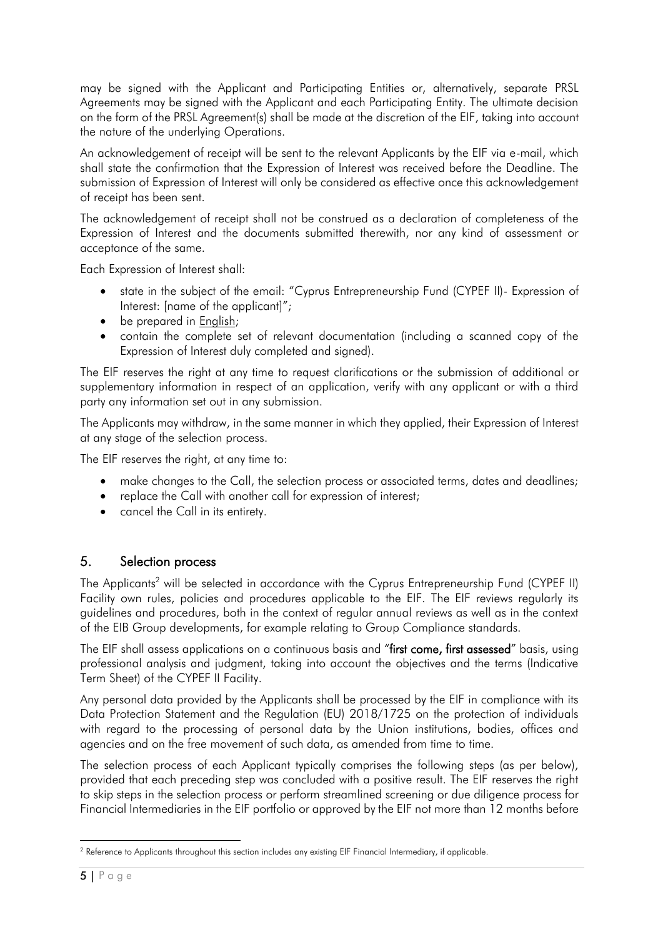may be signed with the Applicant and Participating Entities or, alternatively, separate PRSL Agreements may be signed with the Applicant and each Participating Entity. The ultimate decision on the form of the PRSL Agreement(s) shall be made at the discretion of the EIF, taking into account the nature of the underlying Operations.

An acknowledgement of receipt will be sent to the relevant Applicants by the EIF via e-mail, which shall state the confirmation that the Expression of Interest was received before the Deadline. The submission of Expression of Interest will only be considered as effective once this acknowledgement of receipt has been sent.

The acknowledgement of receipt shall not be construed as a declaration of completeness of the Expression of Interest and the documents submitted therewith, nor any kind of assessment or acceptance of the same.

Each Expression of Interest shall:

- state in the subject of the email: "Cyprus Entrepreneurship Fund (CYPEF II)- Expression of Interest: [name of the applicant]";
- be prepared in English;
- contain the complete set of relevant documentation (including a scanned copy of the Expression of Interest duly completed and signed).

The EIF reserves the right at any time to request clarifications or the submission of additional or supplementary information in respect of an application, verify with any applicant or with a third party any information set out in any submission.

The Applicants may withdraw, in the same manner in which they applied, their Expression of Interest at any stage of the selection process.

The EIF reserves the right, at any time to:

- make changes to the Call, the selection process or associated terms, dates and deadlines;
- replace the Call with another call for expression of interest;
- cancel the Call in its entirety.

### 5. Selection process

The Applicants<sup>2</sup> will be selected in accordance with the Cyprus Entrepreneurship Fund (CYPEF II) Facility own rules, policies and procedures applicable to the EIF. The EIF reviews regularly its guidelines and procedures, both in the context of regular annual reviews as well as in the context of the EIB Group developments, for example relating to Group Compliance standards.

The EIF shall assess applications on a continuous basis and "first come, first assessed" basis, using professional analysis and judgment, taking into account the objectives and the terms (Indicative Term Sheet) of the CYPEF II Facility.

Any personal data provided by the Applicants shall be processed by the EIF in compliance with its Data Protection Statement and the Regulation (EU) 2018/1725 on the protection of individuals with regard to the processing of personal data by the Union institutions, bodies, offices and agencies and on the free movement of such data, as amended from time to time.

The selection process of each Applicant typically comprises the following steps (as per below), provided that each preceding step was concluded with a positive result. The EIF reserves the right to skip steps in the selection process or perform streamlined screening or due diligence process for Financial Intermediaries in the EIF portfolio or approved by the EIF not more than 12 months before

1

<sup>&</sup>lt;sup>2</sup> Reference to Applicants throughout this section includes any existing EIF Financial Intermediary, if applicable.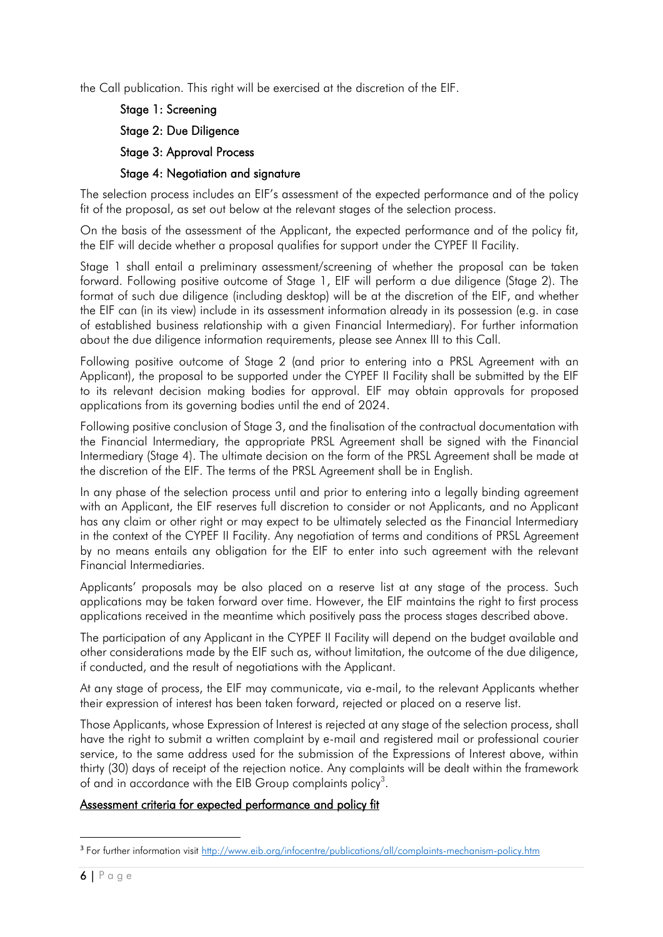the Call publication. This right will be exercised at the discretion of the EIF.

Stage 1: Screening Stage 2: Due Diligence Stage 3: Approval Process Stage 4: Negotiation and signature

The selection process includes an EIF's assessment of the expected performance and of the policy fit of the proposal, as set out below at the relevant stages of the selection process.

On the basis of the assessment of the Applicant, the expected performance and of the policy fit, the EIF will decide whether a proposal qualifies for support under the CYPEF II Facility.

Stage 1 shall entail a preliminary assessment/screening of whether the proposal can be taken forward. Following positive outcome of Stage 1, EIF will perform a due diligence (Stage 2). The format of such due diligence (including desktop) will be at the discretion of the EIF, and whether the EIF can (in its view) include in its assessment information already in its possession (e.g. in case of established business relationship with a given Financial Intermediary). For further information about the due diligence information requirements, please see Annex III to this Call.

Following positive outcome of Stage 2 (and prior to entering into a PRSL Agreement with an Applicant), the proposal to be supported under the CYPEF II Facility shall be submitted by the EIF to its relevant decision making bodies for approval. EIF may obtain approvals for proposed applications from its governing bodies until the end of 2024.

Following positive conclusion of Stage 3, and the finalisation of the contractual documentation with the Financial Intermediary, the appropriate PRSL Agreement shall be signed with the Financial Intermediary (Stage 4). The ultimate decision on the form of the PRSL Agreement shall be made at the discretion of the EIF. The terms of the PRSL Agreement shall be in English.

In any phase of the selection process until and prior to entering into a legally binding agreement with an Applicant, the EIF reserves full discretion to consider or not Applicants, and no Applicant has any claim or other right or may expect to be ultimately selected as the Financial Intermediary in the context of the CYPEF II Facility. Any negotiation of terms and conditions of PRSL Agreement by no means entails any obligation for the EIF to enter into such agreement with the relevant Financial Intermediaries.

Applicants' proposals may be also placed on a reserve list at any stage of the process. Such applications may be taken forward over time. However, the EIF maintains the right to first process applications received in the meantime which positively pass the process stages described above.

The participation of any Applicant in the CYPEF II Facility will depend on the budget available and other considerations made by the EIF such as, without limitation, the outcome of the due diligence, if conducted, and the result of negotiations with the Applicant.

At any stage of process, the EIF may communicate, via e-mail, to the relevant Applicants whether their expression of interest has been taken forward, rejected or placed on a reserve list.

Those Applicants, whose Expression of Interest is rejected at any stage of the selection process, shall have the right to submit a written complaint by e-mail and registered mail or professional courier service, to the same address used for the submission of the Expressions of Interest above, within thirty (30) days of receipt of the rejection notice. Any complaints will be dealt within the framework of and in accordance with the EIB Group complaints policy<sup>3</sup>.

### Assessment criteria for expected performance and policy fit

**.** 

<sup>&</sup>lt;sup>3</sup> For further information visit<http://www.eib.org/infocentre/publications/all/complaints-mechanism-policy.htm>